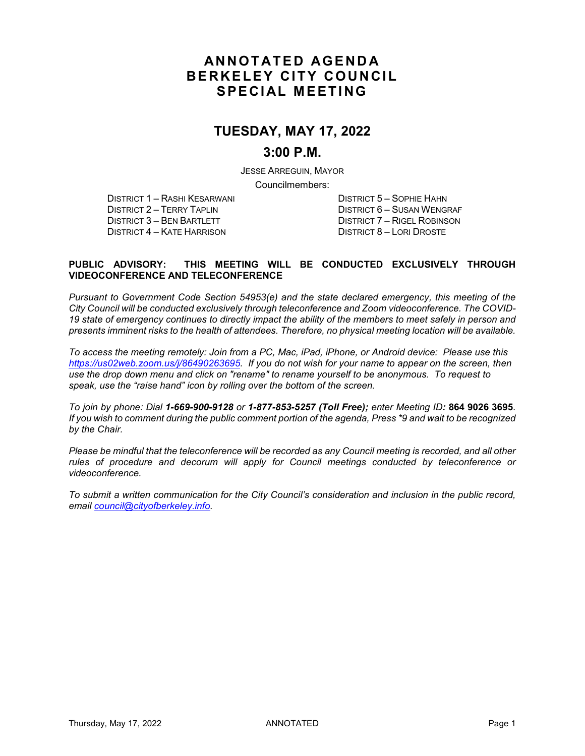## **ANNOTATED AGENDA BERKELEY CITY COUNCIL SPECIAL MEETING**

## **TUESDAY, MAY 17, 2022**

### **3:00 P.M.**

JESSE ARREGUIN, MAYOR Councilmembers:

DISTRICT 1 – RASHI KESARWANI DISTRICT 5 – SOPHIE HAHN DISTRICT 4 – KATE HARRISON

DISTRICT 2 – TERRY TAPLIN DISTRICT 6 – SUSAN WENGRAF DISTRICT 7 – RIGEL ROBINSON<br>DISTRICT 8 – LORI DROSTE

#### **PUBLIC ADVISORY: THIS MEETING WILL BE CONDUCTED EXCLUSIVELY THROUGH VIDEOCONFERENCE AND TELECONFERENCE**

*Pursuant to Government Code Section 54953(e) and the state declared emergency, this meeting of the City Council will be conducted exclusively through teleconference and Zoom videoconference. The COVID-19 state of emergency continues to directly impact the ability of the members to meet safely in person and presents imminent risks to the health of attendees. Therefore, no physical meeting location will be available.* 

*To access the meeting remotely: Join from a PC, Mac, iPad, iPhone, or Android device: Please use this [https://us02web.zoom.us/j/86490263695.](https://us02web.zoom.us/j/86490263695) If you do not wish for your name to appear on the screen, then use the drop down menu and click on "rename" to rename yourself to be anonymous. To request to speak, use the "raise hand" icon by rolling over the bottom of the screen.* 

*To join by phone: Dial 1-669-900-9128 or 1-877-853-5257 (Toll Free); enter Meeting ID:* **864 9026 3695**. *If you wish to comment during the public comment portion of the agenda, Press \*9 and wait to be recognized by the Chair.* 

*Please be mindful that the teleconference will be recorded as any Council meeting is recorded, and all other rules of procedure and decorum will apply for Council meetings conducted by teleconference or videoconference.*

*To submit a written communication for the City Council's consideration and inclusion in the public record, email [council@cityofberkeley.info.](mailto:council@cityofberkeley.info)*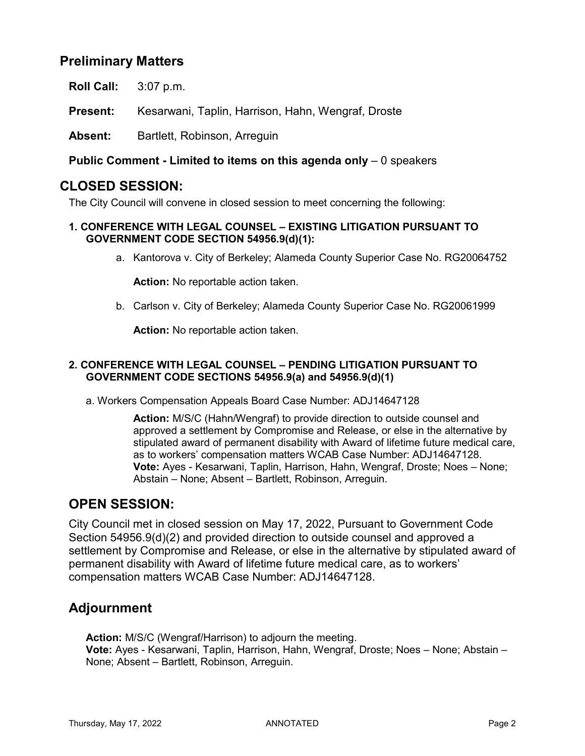## **Preliminary Matters**

**Roll Call:** 3:07 p.m.

**Present:** Kesarwani, Taplin, Harrison, Hahn, Wengraf, Droste

Absent: Bartlett, Robinson, Arreguin

**Public Comment - Limited to items on this agenda only** – 0 speakers

### **CLOSED SESSION:**

The City Council will convene in closed session to meet concerning the following:

#### **1. CONFERENCE WITH LEGAL COUNSEL – EXISTING LITIGATION PURSUANT TO GOVERNMENT CODE SECTION 54956.9(d)(1):**

a. Kantorova v. City of Berkeley; Alameda County Superior Case No. RG20064752

**Action:** No reportable action taken.

b. Carlson v. City of Berkeley; Alameda County Superior Case No. RG20061999

**Action:** No reportable action taken.

#### **2. CONFERENCE WITH LEGAL COUNSEL – PENDING LITIGATION PURSUANT TO GOVERNMENT CODE SECTIONS 54956.9(a) and 54956.9(d)(1)**

a. Workers Compensation Appeals Board Case Number: ADJ14647128

**Action:** M/S/C (Hahn/Wengraf) to provide direction to outside counsel and approved a settlement by Compromise and Release, or else in the alternative by stipulated award of permanent disability with Award of lifetime future medical care, as to workers' compensation matters WCAB Case Number: ADJ14647128. **Vote:** Ayes - Kesarwani, Taplin, Harrison, Hahn, Wengraf, Droste; Noes – None; Abstain – None; Absent – Bartlett, Robinson, Arreguin.

### **OPEN SESSION:**

City Council met in closed session on May 17, 2022, Pursuant to Government Code Section 54956.9(d)(2) and provided direction to outside counsel and approved a settlement by Compromise and Release, or else in the alternative by stipulated award of permanent disability with Award of lifetime future medical care, as to workers' compensation matters WCAB Case Number: ADJ14647128.

## **Adjournment**

**Action:** M/S/C (Wengraf/Harrison) to adjourn the meeting. **Vote:** Ayes - Kesarwani, Taplin, Harrison, Hahn, Wengraf, Droste; Noes – None; Abstain – None; Absent – Bartlett, Robinson, Arreguin.